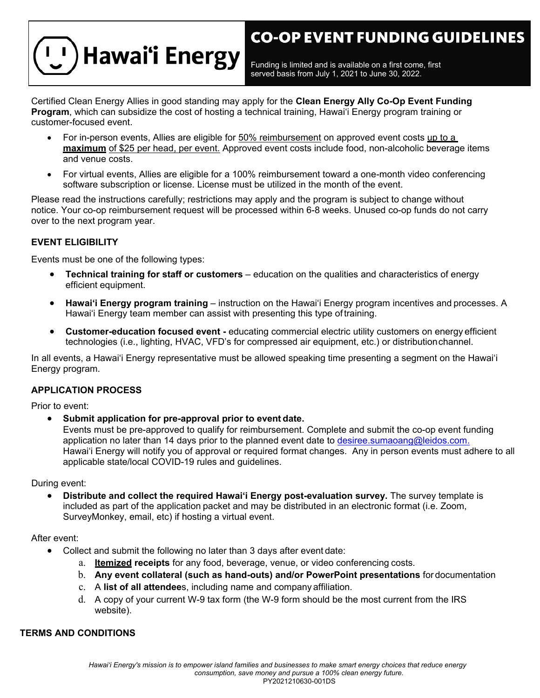# **CO-OP EVENT FUNDING GUIDELINES**



Funding is limited and is available on a first come, first served basis from July 1, 2021 to June 30, 2022.

Certified Clean Energy Allies in good standing may apply for the **Clean Energy Ally Co-Op Event Funding Program**, which can subsidize the cost of hosting a technical training, Hawai'i Energy program training or customer-focused event.

- For in-person events, Allies are eligible for 50% reimbursement on approved event costs up to a **maximum** of \$25 per head, per event. Approved event costs include food, non-alcoholic beverage items and venue costs.
- For virtual events, Allies are eligible for a 100% reimbursement toward a one-month video conferencing software subscription or license. License must be utilized in the month of the event.

Please read the instructions carefully; restrictions may apply and the program is subject to change without notice. Your co-op reimbursement request will be processed within 6-8 weeks. Unused co-op funds do not carry over to the next program year.

#### **EVENT ELIGIBILITY**

Events must be one of the following types:

- **Technical training for staff or customers**  education on the qualities and characteristics of energy efficient equipment.
- **Hawai'i Energy program training**  instruction on the Hawai'i Energy program incentives and processes. A Hawai'i Energy team member can assist with presenting this type of training.
- **Customer-education focused event -** educating commercial electric utility customers on energy efficient technologies (i.e., lighting, HVAC, VFD's for compressed air equipment, etc.) or distributionchannel.

In all events, a Hawai'i Energy representative must be allowed speaking time presenting a segment on the Hawai'i Energy program.

#### **APPLICATION PROCESS**

Prior to event:

• **Submit application for pre-approval prior to event date.**

Events must be pre-approved to qualify for reimbursement. Complete and submit the co-op event funding application no later than 14 days prior to the planned event date to [desiree.sumaoang@leidos.com.](mailto:yunkerj@leidos.com) Hawai'i Energy will notify you of approval or required format changes. Any in person events must adhere to all applicable state/local COVID-19 rules and guidelines.

During event:

• **Distribute and collect the required Hawai'i Energy post-evaluation survey.** The survey template is included as part of the application packet and may be distributed in an electronic format (i.e. Zoom, SurveyMonkey, email, etc) if hosting a virtual event.

#### After event:

- Collect and submit the following no later than 3 days after event date:
	- a. **Itemized receipts** for any food, beverage, venue, or video conferencing costs.
	- b. **Any event collateral (such as hand-outs) and/or PowerPoint presentations** for documentation
	- c. A **list of all attendee**s, including name and company affiliation.
	- d. A copy of your current W-9 tax form (the W-9 form should be the most current from the IRS website).

#### **TERMS AND CONDITIONS**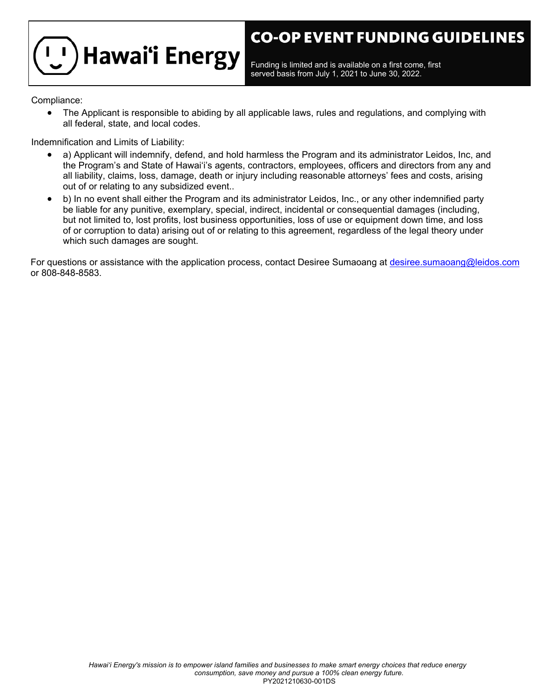

Funding is limited and is available on a first come, first served basis from July 1, 2021 to June 30, 2022.

Compliance:

• The Applicant is responsible to abiding by all applicable laws, rules and regulations, and complying with all federal, state, and local codes.

Indemnification and Limits of Liability:

- a) Applicant will indemnify, defend, and hold harmless the Program and its administrator Leidos, Inc, and the Program's and State of Hawai'i's agents, contractors, employees, officers and directors from any and all liability, claims, loss, damage, death or injury including reasonable attorneys' fees and costs, arising out of or relating to any subsidized event..
- b) In no event shall either the Program and its administrator Leidos, Inc., or any other indemnified party be liable for any punitive, exemplary, special, indirect, incidental or consequential damages (including, but not limited to, lost profits, lost business opportunities, loss of use or equipment down time, and loss of or corruption to data) arising out of or relating to this agreement, regardless of the legal theory under which such damages are sought.

For questions or assistance with the application process, contact Desiree Sumaoang at [desiree.sumaoang@leidos.com](mailto:yunkerj@leidos.com) or 808-848-8583.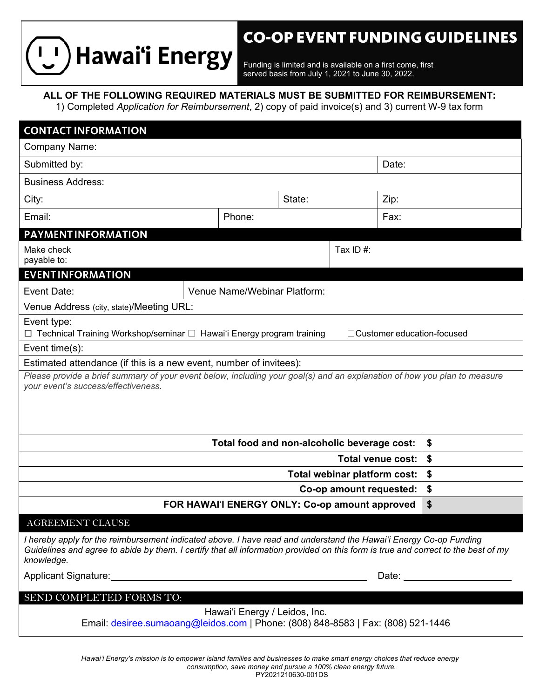

## **CO-OP EVENT FUNDING GUIDELINES**

Funding is limited and is available on a first come, first served basis from July 1, 2021 to June 30, 2022.

**ALL OF THE FOLLOWING REQUIRED MATERIALS MUST BE SUBMITTED FOR REIMBURSEMENT:**

1) Completed *Application for Reimbursement*, 2) copy of paid invoice(s) and 3) current W-9 tax form

| <b>CONTACT INFORMATION</b>                                                                                                                                                                                                                                           |                              |        |      |  |  |    |  |  |  |
|----------------------------------------------------------------------------------------------------------------------------------------------------------------------------------------------------------------------------------------------------------------------|------------------------------|--------|------|--|--|----|--|--|--|
| <b>Company Name:</b>                                                                                                                                                                                                                                                 |                              |        |      |  |  |    |  |  |  |
| Submitted by:<br>Date:                                                                                                                                                                                                                                               |                              |        |      |  |  |    |  |  |  |
| <b>Business Address:</b>                                                                                                                                                                                                                                             |                              |        |      |  |  |    |  |  |  |
| City:                                                                                                                                                                                                                                                                | State:<br>Zip:               |        |      |  |  |    |  |  |  |
| Email:                                                                                                                                                                                                                                                               |                              | Phone: | Fax: |  |  |    |  |  |  |
| <b>PAYMENT INFORMATION</b>                                                                                                                                                                                                                                           |                              |        |      |  |  |    |  |  |  |
| Make check<br>payable to:                                                                                                                                                                                                                                            |                              |        |      |  |  |    |  |  |  |
| <b>EVENT INFORMATION</b>                                                                                                                                                                                                                                             |                              |        |      |  |  |    |  |  |  |
| Event Date:                                                                                                                                                                                                                                                          | Venue Name/Webinar Platform: |        |      |  |  |    |  |  |  |
| Venue Address (city, state)/Meeting URL:                                                                                                                                                                                                                             |                              |        |      |  |  |    |  |  |  |
| Event type:<br>□ Technical Training Workshop/seminar □ Hawai'i Energy program training<br>□Customer education-focused                                                                                                                                                |                              |        |      |  |  |    |  |  |  |
| Event time(s):                                                                                                                                                                                                                                                       |                              |        |      |  |  |    |  |  |  |
| Estimated attendance (if this is a new event, number of invitees):<br>Please provide a brief summary of your event below, including your goal(s) and an explanation of how you plan to measure                                                                       |                              |        |      |  |  |    |  |  |  |
| your event's success/effectiveness.                                                                                                                                                                                                                                  |                              |        |      |  |  |    |  |  |  |
| \$<br>Total food and non-alcoholic beverage cost:                                                                                                                                                                                                                    |                              |        |      |  |  |    |  |  |  |
| <b>Total venue cost:</b>                                                                                                                                                                                                                                             |                              |        |      |  |  | \$ |  |  |  |
| Total webinar platform cost:                                                                                                                                                                                                                                         |                              |        |      |  |  | \$ |  |  |  |
| Co-op amount requested:                                                                                                                                                                                                                                              |                              |        |      |  |  | \$ |  |  |  |
| \$<br>FOR HAWAI'I ENERGY ONLY: Co-op amount approved                                                                                                                                                                                                                 |                              |        |      |  |  |    |  |  |  |
| AGREEMENT CLAUSE                                                                                                                                                                                                                                                     |                              |        |      |  |  |    |  |  |  |
| I hereby apply for the reimbursement indicated above. I have read and understand the Hawai'i Energy Co-op Funding<br>Guidelines and agree to abide by them. I certify that all information provided on this form is true and correct to the best of my<br>knowledge. |                              |        |      |  |  |    |  |  |  |
| Date: ______________________                                                                                                                                                                                                                                         |                              |        |      |  |  |    |  |  |  |
| SEND COMPLETED FORMS TO:                                                                                                                                                                                                                                             |                              |        |      |  |  |    |  |  |  |
| Hawai'i Energy / Leidos, Inc.<br>Email: desiree.sumaoang@leidos.com   Phone: (808) 848-8583   Fax: (808) 521-1446                                                                                                                                                    |                              |        |      |  |  |    |  |  |  |
|                                                                                                                                                                                                                                                                      |                              |        |      |  |  |    |  |  |  |